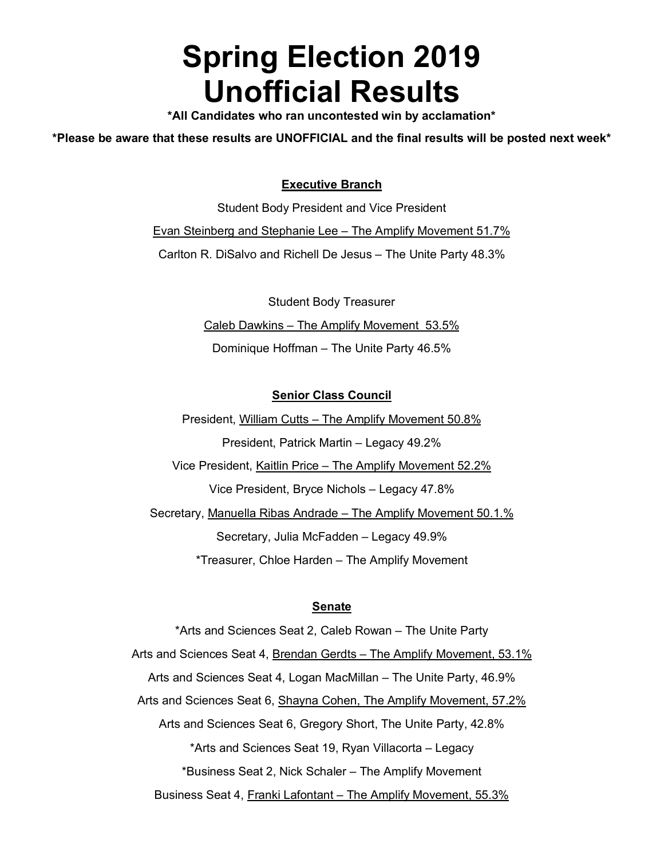# **Spring Election 2019 Unofficial Results**

**\*All Candidates who ran uncontested win by acclamation\*** 

**\*Please be aware that these results are UNOFFICIAL and the final results will be posted next week\***

## **Executive Branch**

Student Body President and Vice President Evan Steinberg and Stephanie Lee – The Amplify Movement 51.7% Carlton R. DiSalvo and Richell De Jesus – The Unite Party 48.3%

> Student Body Treasurer Caleb Dawkins – The Amplify Movement 53.5% Dominique Hoffman – The Unite Party 46.5%

### **Senior Class Council**

President, William Cutts – The Amplify Movement 50.8% President, Patrick Martin – Legacy 49.2% Vice President, Kaitlin Price – The Amplify Movement 52.2% Vice President, Bryce Nichols – Legacy 47.8%

Secretary, Manuella Ribas Andrade – The Amplify Movement 50.1.% Secretary, Julia McFadden – Legacy 49.9% \*Treasurer, Chloe Harden – The Amplify Movement

#### **Senate**

\*Arts and Sciences Seat 2, Caleb Rowan – The Unite Party Arts and Sciences Seat 4, Brendan Gerdts - The Amplify Movement, 53.1% Arts and Sciences Seat 4, Logan MacMillan – The Unite Party, 46.9% Arts and Sciences Seat 6, Shayna Cohen, The Amplify Movement, 57.2% Arts and Sciences Seat 6, Gregory Short, The Unite Party, 42.8% \*Arts and Sciences Seat 19, Ryan Villacorta – Legacy \*Business Seat 2, Nick Schaler – The Amplify Movement Business Seat 4, Franki Lafontant – The Amplify Movement, 55.3%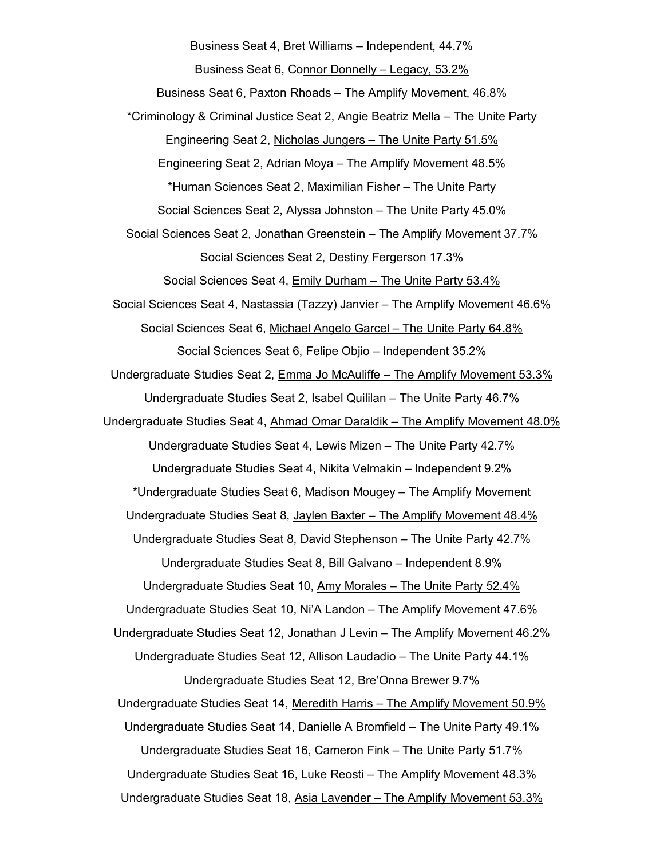Business Seat 4, Bret Williams – Independent, 44.7% Business Seat 6, Connor Donnelly – Legacy, 53.2% Business Seat 6, Paxton Rhoads – The Amplify Movement, 46.8% \*Criminology & Criminal Justice Seat 2, Angie Beatriz Mella – The Unite Party Engineering Seat 2, Nicholas Jungers – The Unite Party 51.5% Engineering Seat 2, Adrian Moya – The Amplify Movement 48.5% \*Human Sciences Seat 2, Maximilian Fisher – The Unite Party Social Sciences Seat 2, Alyssa Johnston – The Unite Party 45.0% Social Sciences Seat 2, Jonathan Greenstein – The Amplify Movement 37.7% Social Sciences Seat 2, Destiny Fergerson 17.3% Social Sciences Seat 4, Emily Durham – The Unite Party 53.4% Social Sciences Seat 4, Nastassia (Tazzy) Janvier – The Amplify Movement 46.6% Social Sciences Seat 6, Michael Angelo Garcel – The Unite Party 64.8% Social Sciences Seat 6, Felipe Objio – Independent 35.2% Undergraduate Studies Seat 2, Emma Jo McAuliffe – The Amplify Movement 53.3% Undergraduate Studies Seat 2, Isabel Quililan – The Unite Party 46.7% Undergraduate Studies Seat 4, Ahmad Omar Daraldik – The Amplify Movement 48.0% Undergraduate Studies Seat 4, Lewis Mizen – The Unite Party 42.7% Undergraduate Studies Seat 4, Nikita Velmakin – Independent 9.2% \*Undergraduate Studies Seat 6, Madison Mougey – The Amplify Movement Undergraduate Studies Seat 8, Jaylen Baxter – The Amplify Movement 48.4% Undergraduate Studies Seat 8, David Stephenson – The Unite Party 42.7% Undergraduate Studies Seat 8, Bill Galvano – Independent 8.9% Undergraduate Studies Seat 10, Amy Morales – The Unite Party 52.4% Undergraduate Studies Seat 10, Ni'A Landon – The Amplify Movement 47.6% Undergraduate Studies Seat 12, Jonathan J Levin – The Amplify Movement 46.2% Undergraduate Studies Seat 12, Allison Laudadio – The Unite Party 44.1% Undergraduate Studies Seat 12, Bre'Onna Brewer 9.7% Undergraduate Studies Seat 14, Meredith Harris – The Amplify Movement 50.9% Undergraduate Studies Seat 14, Danielle A Bromfield – The Unite Party 49.1% Undergraduate Studies Seat 16, Cameron Fink – The Unite Party 51.7% Undergraduate Studies Seat 16, Luke Reosti – The Amplify Movement 48.3% Undergraduate Studies Seat 18, Asia Lavender – The Amplify Movement 53.3%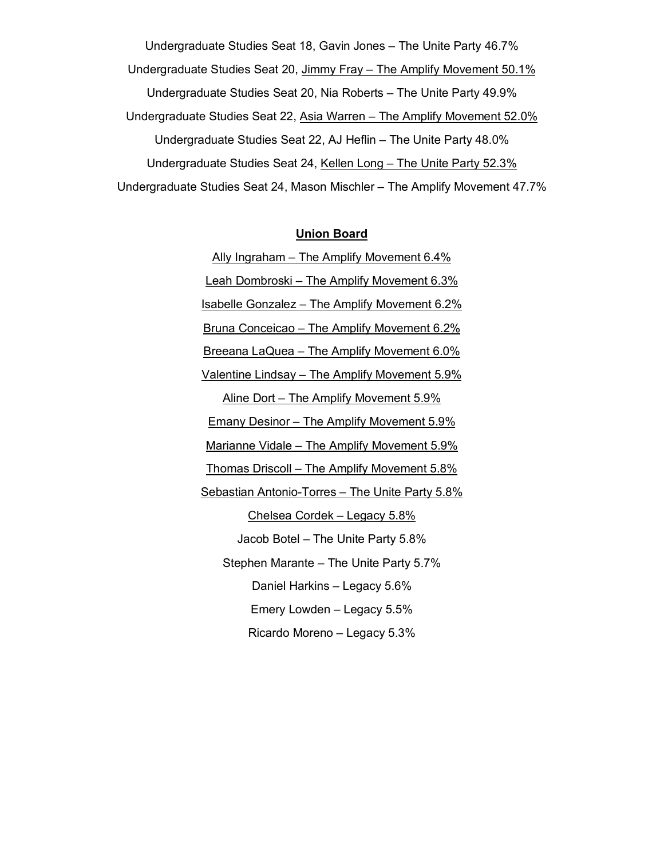Undergraduate Studies Seat 18, Gavin Jones – The Unite Party 46.7% Undergraduate Studies Seat 20, Jimmy Fray - The Amplify Movement 50.1% Undergraduate Studies Seat 20, Nia Roberts – The Unite Party 49.9% Undergraduate Studies Seat 22, Asia Warren – The Amplify Movement 52.0% Undergraduate Studies Seat 22, AJ Heflin – The Unite Party 48.0% Undergraduate Studies Seat 24, Kellen Long – The Unite Party 52.3% Undergraduate Studies Seat 24, Mason Mischler – The Amplify Movement 47.7%

#### **Union Board**

Ally Ingraham – The Amplify Movement 6.4% Leah Dombroski – The Amplify Movement 6.3% Isabelle Gonzalez – The Amplify Movement 6.2% Bruna Conceicao – The Amplify Movement 6.2% Breeana LaQuea – The Amplify Movement 6.0% Valentine Lindsay – The Amplify Movement 5.9% Aline Dort – The Amplify Movement 5.9% Emany Desinor - The Amplify Movement 5.9% Marianne Vidale – The Amplify Movement 5.9% Thomas Driscoll – The Amplify Movement 5.8% Sebastian Antonio-Torres – The Unite Party 5.8% Chelsea Cordek – Legacy 5.8% Jacob Botel – The Unite Party 5.8% Stephen Marante – The Unite Party 5.7% Daniel Harkins – Legacy 5.6% Emery Lowden – Legacy 5.5% Ricardo Moreno – Legacy 5.3%